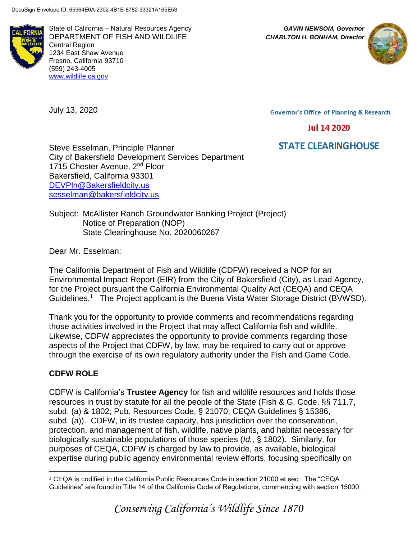

State of California – Natural Resources Agency *GAVIN NEWSOM, Governor* DEPARTMENT OF FISH AND WILDLIFE *CHARLTON H. BONHAM, Director*  Central Region 1234 East Shaw Avenue Fresno, California 93710 (559) 243-4005 [www.wildlife.ca.gov](http://www.wildlife.ca.gov/)



July 13, 2020

**Governor's Office of Planning & Research** 

**Jul 14 2020** 

# **STATE CLEARINGHOUSE**

Steve Esselman, Principle Planner City of Bakersfield Development Services Department 1715 Chester Avenue, 2<sup>nd</sup> Floor Bakersfield, California 93301 [DEVPln@Bakersfieldcity.us](mailto:DEVPln@Bakersfieldcity.us) [sesselman@bakersfieldcity.us](mailto:sesselman@bakersfieldcity.us)

Subject: McAllister Ranch Groundwater Banking Project (Project) Notice of Preparation (NOP) State Clearinghouse No. 2020060267

Dear Mr. Esselman:

The California Department of Fish and Wildlife (CDFW) received a NOP for an Environmental Impact Report (EIR) from the City of Bakersfield (City), as Lead Agency, for the Project pursuant the California Environmental Quality Act (CEQA) and CEQA Guidelines.<sup>1</sup> The Project applicant is the Buena Vista Water Storage District (BVWSD).

Thank you for the opportunity to provide comments and recommendations regarding those activities involved in the Project that may affect California fish and wildlife. Likewise, CDFW appreciates the opportunity to provide comments regarding those aspects of the Project that CDFW, by law, may be required to carry out or approve through the exercise of its own regulatory authority under the Fish and Game Code.

## **CDFW ROLE**

CDFW is California's **Trustee Agency** for fish and wildlife resources and holds those resources in trust by statute for all the people of the State (Fish & G. Code, §§ 711.7, subd. (a) & 1802; Pub. Resources Code, § 21070; CEQA Guidelines § 15386, subd. (a)). CDFW, in its trustee capacity, has jurisdiction over the conservation, protection, and management of fish, wildlife, native plants, and habitat necessary for biologically sustainable populations of those species (*Id.*, § 1802). Similarly, for purposes of CEQA, CDFW is charged by law to provide, as available, biological expertise during public agency environmental review efforts, focusing specifically on

 $\overline{a}$ <sup>1</sup> CEQA is codified in the California Public Resources Code in section 21000 et seq. The "CEQA Guidelines" are found in Title 14 of the California Code of Regulations, commencing with section 15000.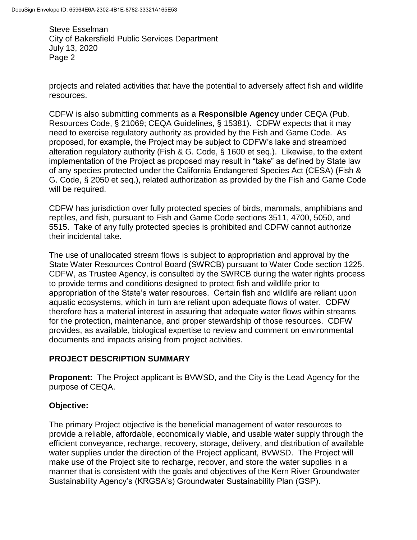projects and related activities that have the potential to adversely affect fish and wildlife resources.

CDFW is also submitting comments as a **Responsible Agency** under CEQA (Pub. Resources Code, § 21069; CEQA Guidelines, § 15381). CDFW expects that it may need to exercise regulatory authority as provided by the Fish and Game Code. As proposed, for example, the Project may be subject to CDFW's lake and streambed alteration regulatory authority (Fish & G. Code, § 1600 et seq.). Likewise, to the extent implementation of the Project as proposed may result in "take" as defined by State law of any species protected under the California Endangered Species Act (CESA) (Fish & G. Code, § 2050 et seq.), related authorization as provided by the Fish and Game Code will be required.

CDFW has jurisdiction over fully protected species of birds, mammals, amphibians and reptiles, and fish, pursuant to Fish and Game Code sections 3511, 4700, 5050, and 5515. Take of any fully protected species is prohibited and CDFW cannot authorize their incidental take.

The use of unallocated stream flows is subject to appropriation and approval by the State Water Resources Control Board (SWRCB) pursuant to Water Code section 1225. CDFW, as Trustee Agency, is consulted by the SWRCB during the water rights process to provide terms and conditions designed to protect fish and wildlife prior to appropriation of the State's water resources. Certain fish and wildlife are reliant upon aquatic ecosystems, which in turn are reliant upon adequate flows of water. CDFW therefore has a material interest in assuring that adequate water flows within streams for the protection, maintenance, and proper stewardship of those resources. CDFW provides, as available, biological expertise to review and comment on environmental documents and impacts arising from project activities.

## **PROJECT DESCRIPTION SUMMARY**

**Proponent:** The Project applicant is BVWSD, and the City is the Lead Agency for the purpose of CEQA.

## **Objective:**

The primary Project objective is the beneficial management of water resources to provide a reliable, affordable, economically viable, and usable water supply through the efficient conveyance, recharge, recovery, storage, delivery, and distribution of available water supplies under the direction of the Project applicant, BVWSD. The Project will make use of the Project site to recharge, recover, and store the water supplies in a manner that is consistent with the goals and objectives of the Kern River Groundwater Sustainability Agency's (KRGSA's) Groundwater Sustainability Plan (GSP).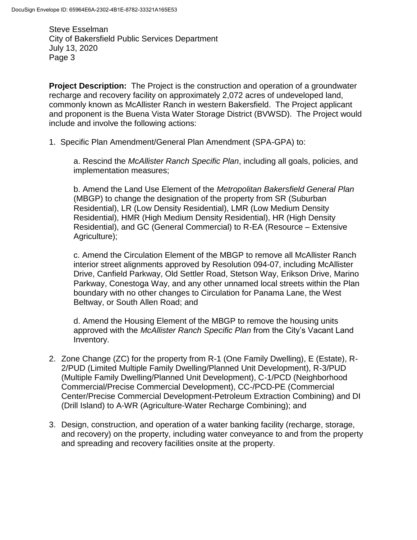**Project Description:** The Project is the construction and operation of a groundwater recharge and recovery facility on approximately 2,072 acres of undeveloped land, commonly known as McAllister Ranch in western Bakersfield. The Project applicant and proponent is the Buena Vista Water Storage District (BVWSD). The Project would include and involve the following actions:

1. Specific Plan Amendment/General Plan Amendment (SPA-GPA) to:

a. Rescind the *McAllister Ranch Specific Plan*, including all goals, policies, and implementation measures;

b. Amend the Land Use Element of the *Metropolitan Bakersfield General Plan*  (MBGP) to change the designation of the property from SR (Suburban Residential), LR (Low Density Residential), LMR (Low Medium Density Residential), HMR (High Medium Density Residential), HR (High Density Residential), and GC (General Commercial) to R-EA (Resource – Extensive Agriculture);

c. Amend the Circulation Element of the MBGP to remove all McAllister Ranch interior street alignments approved by Resolution 094-07, including McAllister Drive, Canfield Parkway, Old Settler Road, Stetson Way, Erikson Drive, Marino Parkway, Conestoga Way, and any other unnamed local streets within the Plan boundary with no other changes to Circulation for Panama Lane, the West Beltway, or South Allen Road; and

d. Amend the Housing Element of the MBGP to remove the housing units approved with the *McAllister Ranch Specific Plan* from the City's Vacant Land Inventory.

- 2. Zone Change (ZC) for the property from R-1 (One Family Dwelling), E (Estate), R-2/PUD (Limited Multiple Family Dwelling/Planned Unit Development), R-3/PUD (Multiple Family Dwelling/Planned Unit Development), C-1/PCD (Neighborhood Commercial/Precise Commercial Development), CC-/PCD-PE (Commercial Center/Precise Commercial Development-Petroleum Extraction Combining) and DI (Drill Island) to A-WR (Agriculture-Water Recharge Combining); and
- 3. Design, construction, and operation of a water banking facility (recharge, storage, and recovery) on the property, including water conveyance to and from the property and spreading and recovery facilities onsite at the property.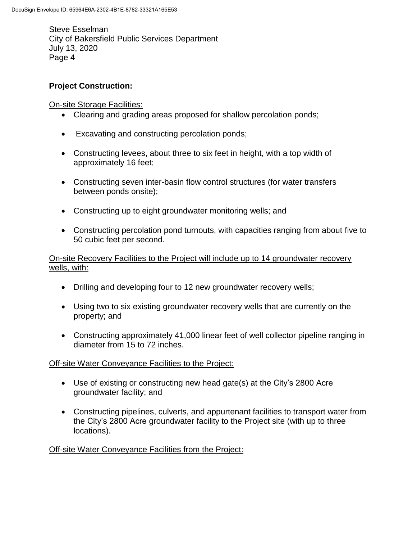## **Project Construction:**

**On-site Storage Facilities:** 

- Clearing and grading areas proposed for shallow percolation ponds;
- Excavating and constructing percolation ponds;
- Constructing levees, about three to six feet in height, with a top width of approximately 16 feet;
- Constructing seven inter-basin flow control structures (for water transfers between ponds onsite);
- Constructing up to eight groundwater monitoring wells; and
- Constructing percolation pond turnouts, with capacities ranging from about five to 50 cubic feet per second.

## On-site Recovery Facilities to the Project will include up to 14 groundwater recovery wells, with:

- Drilling and developing four to 12 new groundwater recovery wells;
- Using two to six existing groundwater recovery wells that are currently on the property; and
- Constructing approximately 41,000 linear feet of well collector pipeline ranging in diameter from 15 to 72 inches.

## Off-site Water Conveyance Facilities to the Project:

- Use of existing or constructing new head gate(s) at the City's 2800 Acre groundwater facility; and
- Constructing pipelines, culverts, and appurtenant facilities to transport water from the City's 2800 Acre groundwater facility to the Project site (with up to three locations).

## Off-site Water Conveyance Facilities from the Project: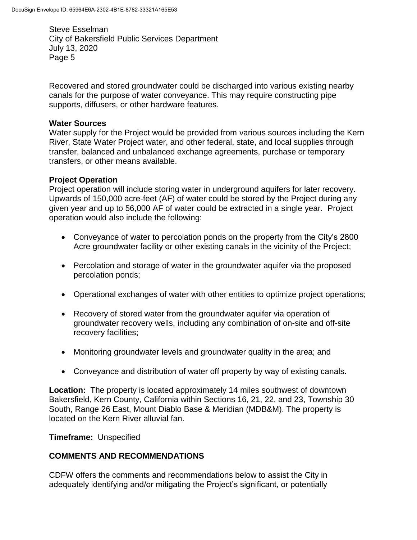Recovered and stored groundwater could be discharged into various existing nearby canals for the purpose of water conveyance. This may require constructing pipe supports, diffusers, or other hardware features.

### **Water Sources**

Water supply for the Project would be provided from various sources including the Kern River, State Water Project water, and other federal, state, and local supplies through transfer, balanced and unbalanced exchange agreements, purchase or temporary transfers, or other means available.

## **Project Operation**

Project operation will include storing water in underground aquifers for later recovery. Upwards of 150,000 acre-feet (AF) of water could be stored by the Project during any given year and up to 56,000 AF of water could be extracted in a single year. Project operation would also include the following:

- Conveyance of water to percolation ponds on the property from the City's 2800 Acre groundwater facility or other existing canals in the vicinity of the Project;
- Percolation and storage of water in the groundwater aquifer via the proposed percolation ponds;
- Operational exchanges of water with other entities to optimize project operations;
- Recovery of stored water from the groundwater aquifer via operation of groundwater recovery wells, including any combination of on-site and off-site recovery facilities;
- Monitoring groundwater levels and groundwater quality in the area; and
- Conveyance and distribution of water off property by way of existing canals.

**Location:** The property is located approximately 14 miles southwest of downtown Bakersfield, Kern County, California within Sections 16, 21, 22, and 23, Township 30 South, Range 26 East, Mount Diablo Base & Meridian (MDB&M). The property is located on the Kern River alluvial fan.

**Timeframe:** Unspecified

## **COMMENTS AND RECOMMENDATIONS**

CDFW offers the comments and recommendations below to assist the City in adequately identifying and/or mitigating the Project's significant, or potentially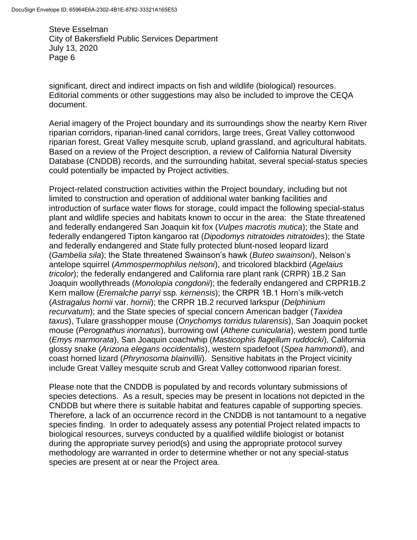significant, direct and indirect impacts on fish and wildlife (biological) resources. Editorial comments or other suggestions may also be included to improve the CEQA document.

Aerial imagery of the Project boundary and its surroundings show the nearby Kern River riparian corridors, riparian-lined canal corridors, large trees, Great Valley cottonwood riparian forest, Great Valley mesquite scrub, upland grassland, and agricultural habitats. Based on a review of the Project description, a review of California Natural Diversity Database (CNDDB) records, and the surrounding habitat, several special-status species could potentially be impacted by Project activities.

Project-related construction activities within the Project boundary, including but not limited to construction and operation of additional water banking facilities and introduction of surface water flows for storage, could impact the following special-status plant and wildlife species and habitats known to occur in the area: the State threatened and federally endangered San Joaquin kit fox (*Vulpes macrotis mutica*); the State and federally endangered Tipton kangaroo rat (*Dipodomys nitratoides nitratoides*); the State and federally endangered and State fully protected blunt-nosed leopard lizard (*Gambelia sila*); the State threatened Swainson's hawk (*Buteo swainsoni*), Nelson's antelope squirrel (*Ammospermophilus nelsoni*), and tricolored blackbird (*Agelaius tricolor*); the federally endangered and California rare plant rank (CRPR) 1B.2 San Joaquin woollythreads (*Monolopia congdonii*); the federally endangered and CRPR1B.2 Kern mallow (*Eremalche parryi* ssp*. kernensis*); the CRPR 1B.1 Horn's milk-vetch (*Astragalus hornii* var. *hornii*); the CRPR 1B.2 recurved larkspur (*Delphinium recurvatum*); and the State species of special concern American badger (*Taxidea taxus*), Tulare grasshopper mouse (*Onychomys torridus tularensis*), San Joaquin pocket mouse (*Perognathus inornatus*), burrowing owl (*Athene cunicularia*), western pond turtle (*Emys marmorata*), San Joaquin coachwhip (*Masticophis flagellum ruddocki*), California glossy snake (*Arizona elegans occidentalis*), western spadefoot (*Spea hammondi*), and coast horned lizard (*Phrynosoma blainvillii*). Sensitive habitats in the Project vicinity include Great Valley mesquite scrub and Great Valley cottonwood riparian forest.

Please note that the CNDDB is populated by and records voluntary submissions of species detections. As a result, species may be present in locations not depicted in the CNDDB but where there is suitable habitat and features capable of supporting species. Therefore, a lack of an occurrence record in the CNDDB is not tantamount to a negative species finding. In order to adequately assess any potential Project related impacts to biological resources, surveys conducted by a qualified wildlife biologist or botanist during the appropriate survey period(s) and using the appropriate protocol survey methodology are warranted in order to determine whether or not any special-status species are present at or near the Project area.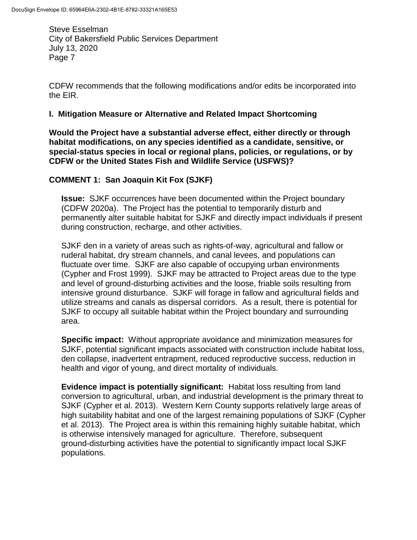CDFW recommends that the following modifications and/or edits be incorporated into the EIR.

### **I. Mitigation Measure or Alternative and Related Impact Shortcoming**

**Would the Project have a substantial adverse effect, either directly or through habitat modifications, on any species identified as a candidate, sensitive, or special-status species in local or regional plans, policies, or regulations, or by CDFW or the United States Fish and Wildlife Service (USFWS)?** 

## **COMMENT 1: San Joaquin Kit Fox (SJKF)**

**Issue:** SJKF occurrences have been documented within the Project boundary (CDFW 2020a). The Project has the potential to temporarily disturb and permanently alter suitable habitat for SJKF and directly impact individuals if present during construction, recharge, and other activities.

SJKF den in a variety of areas such as rights-of-way, agricultural and fallow or ruderal habitat, dry stream channels, and canal levees, and populations can fluctuate over time. SJKF are also capable of occupying urban environments (Cypher and Frost 1999). SJKF may be attracted to Project areas due to the type and level of ground-disturbing activities and the loose, friable soils resulting from intensive ground disturbance. SJKF will forage in fallow and agricultural fields and utilize streams and canals as dispersal corridors. As a result, there is potential for SJKF to occupy all suitable habitat within the Project boundary and surrounding area.

**Specific impact:** Without appropriate avoidance and minimization measures for SJKF, potential significant impacts associated with construction include habitat loss, den collapse, inadvertent entrapment, reduced reproductive success, reduction in health and vigor of young, and direct mortality of individuals.

**Evidence impact is potentially significant:** Habitat loss resulting from land conversion to agricultural, urban, and industrial development is the primary threat to SJKF (Cypher et al. 2013). Western Kern County supports relatively large areas of high suitability habitat and one of the largest remaining populations of SJKF (Cypher et al. 2013). The Project area is within this remaining highly suitable habitat, which is otherwise intensively managed for agriculture. Therefore, subsequent ground-disturbing activities have the potential to significantly impact local SJKF populations.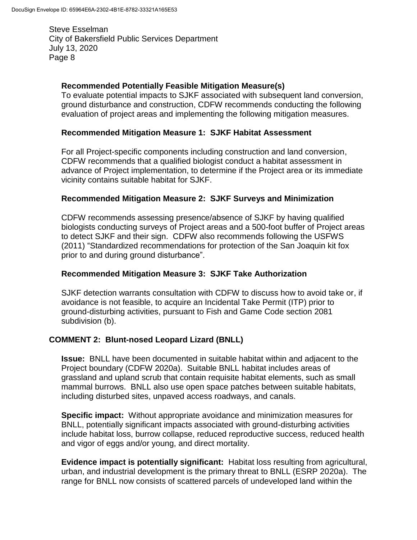## **Recommended Potentially Feasible Mitigation Measure(s)**

To evaluate potential impacts to SJKF associated with subsequent land conversion, ground disturbance and construction, CDFW recommends conducting the following evaluation of project areas and implementing the following mitigation measures.

## **Recommended Mitigation Measure 1: SJKF Habitat Assessment**

For all Project-specific components including construction and land conversion, CDFW recommends that a qualified biologist conduct a habitat assessment in advance of Project implementation, to determine if the Project area or its immediate vicinity contains suitable habitat for SJKF.

## **Recommended Mitigation Measure 2: SJKF Surveys and Minimization**

CDFW recommends assessing presence/absence of SJKF by having qualified biologists conducting surveys of Project areas and a 500-foot buffer of Project areas to detect SJKF and their sign. CDFW also recommends following the USFWS (2011) "Standardized recommendations for protection of the San Joaquin kit fox prior to and during ground disturbance".

## **Recommended Mitigation Measure 3: SJKF Take Authorization**

SJKF detection warrants consultation with CDFW to discuss how to avoid take or, if avoidance is not feasible, to acquire an Incidental Take Permit (ITP) prior to ground-disturbing activities, pursuant to Fish and Game Code section 2081 subdivision (b).

## **COMMENT 2: Blunt-nosed Leopard Lizard (BNLL)**

**Issue:** BNLL have been documented in suitable habitat within and adjacent to the Project boundary (CDFW 2020a). Suitable BNLL habitat includes areas of grassland and upland scrub that contain requisite habitat elements, such as small mammal burrows. BNLL also use open space patches between suitable habitats, including disturbed sites, unpaved access roadways, and canals.

**Specific impact:** Without appropriate avoidance and minimization measures for BNLL, potentially significant impacts associated with ground-disturbing activities include habitat loss, burrow collapse, reduced reproductive success, reduced health and vigor of eggs and/or young, and direct mortality.

**Evidence impact is potentially significant:** Habitat loss resulting from agricultural, urban, and industrial development is the primary threat to BNLL (ESRP 2020a). The range for BNLL now consists of scattered parcels of undeveloped land within the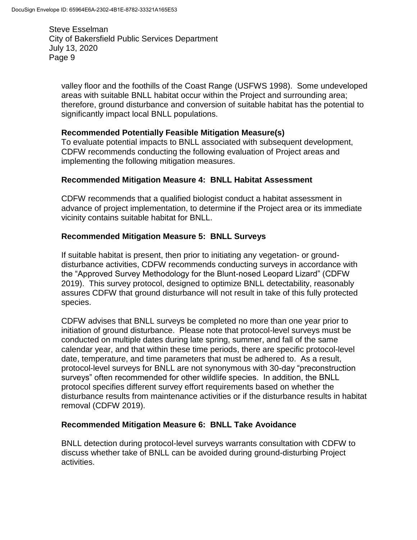valley floor and the foothills of the Coast Range (USFWS 1998). Some undeveloped areas with suitable BNLL habitat occur within the Project and surrounding area; therefore, ground disturbance and conversion of suitable habitat has the potential to significantly impact local BNLL populations.

## **Recommended Potentially Feasible Mitigation Measure(s)**

To evaluate potential impacts to BNLL associated with subsequent development, CDFW recommends conducting the following evaluation of Project areas and implementing the following mitigation measures.

## **Recommended Mitigation Measure 4: BNLL Habitat Assessment**

CDFW recommends that a qualified biologist conduct a habitat assessment in advance of project implementation, to determine if the Project area or its immediate vicinity contains suitable habitat for BNLL.

## **Recommended Mitigation Measure 5: BNLL Surveys**

If suitable habitat is present, then prior to initiating any vegetation- or grounddisturbance activities, CDFW recommends conducting surveys in accordance with the "Approved Survey Methodology for the Blunt-nosed Leopard Lizard" (CDFW 2019). This survey protocol, designed to optimize BNLL detectability, reasonably assures CDFW that ground disturbance will not result in take of this fully protected species.

CDFW advises that BNLL surveys be completed no more than one year prior to initiation of ground disturbance. Please note that protocol-level surveys must be conducted on multiple dates during late spring, summer, and fall of the same calendar year, and that within these time periods, there are specific protocol-level date, temperature, and time parameters that must be adhered to. As a result, protocol-level surveys for BNLL are not synonymous with 30-day "preconstruction surveys" often recommended for other wildlife species. In addition, the BNLL protocol specifies different survey effort requirements based on whether the disturbance results from maintenance activities or if the disturbance results in habitat removal (CDFW 2019).

## **Recommended Mitigation Measure 6: BNLL Take Avoidance**

BNLL detection during protocol-level surveys warrants consultation with CDFW to discuss whether take of BNLL can be avoided during ground-disturbing Project activities.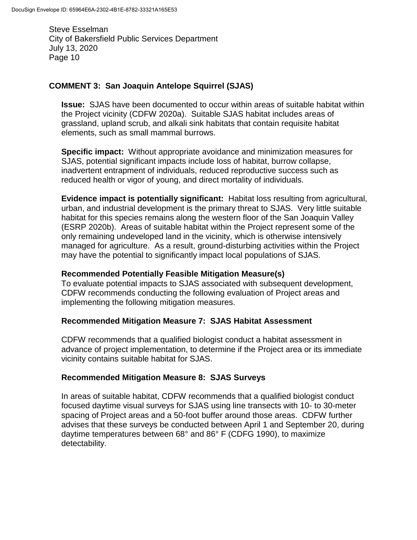### **COMMENT 3: San Joaquin Antelope Squirrel (SJAS)**

**Issue:** SJAS have been documented to occur within areas of suitable habitat within the Project vicinity (CDFW 2020a). Suitable SJAS habitat includes areas of grassland, upland scrub, and alkali sink habitats that contain requisite habitat elements, such as small mammal burrows.

**Specific impact:** Without appropriate avoidance and minimization measures for SJAS, potential significant impacts include loss of habitat, burrow collapse, inadvertent entrapment of individuals, reduced reproductive success such as reduced health or vigor of young, and direct mortality of individuals.

**Evidence impact is potentially significant:** Habitat loss resulting from agricultural, urban, and industrial development is the primary threat to SJAS. Very little suitable habitat for this species remains along the western floor of the San Joaquin Valley (ESRP 2020b). Areas of suitable habitat within the Project represent some of the only remaining undeveloped land in the vicinity, which is otherwise intensively managed for agriculture. As a result, ground-disturbing activities within the Project may have the potential to significantly impact local populations of SJAS.

#### **Recommended Potentially Feasible Mitigation Measure(s)**

To evaluate potential impacts to SJAS associated with subsequent development, CDFW recommends conducting the following evaluation of Project areas and implementing the following mitigation measures.

#### **Recommended Mitigation Measure 7: SJAS Habitat Assessment**

CDFW recommends that a qualified biologist conduct a habitat assessment in advance of project implementation, to determine if the Project area or its immediate vicinity contains suitable habitat for SJAS.

#### **Recommended Mitigation Measure 8: SJAS Surveys**

In areas of suitable habitat, CDFW recommends that a qualified biologist conduct focused daytime visual surveys for SJAS using line transects with 10- to 30-meter spacing of Project areas and a 50-foot buffer around those areas. CDFW further advises that these surveys be conducted between April 1 and September 20, during daytime temperatures between 68° and 86° F (CDFG 1990), to maximize detectability.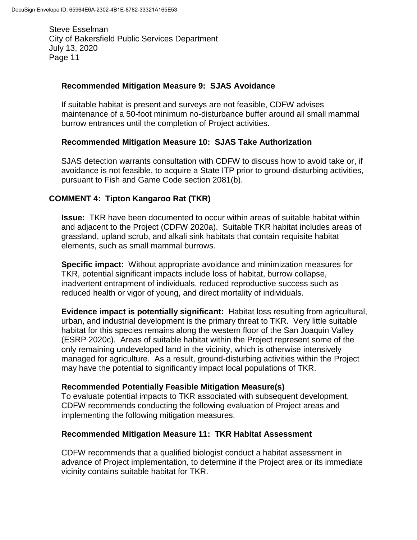#### **Recommended Mitigation Measure 9: SJAS Avoidance**

If suitable habitat is present and surveys are not feasible, CDFW advises maintenance of a 50-foot minimum no-disturbance buffer around all small mammal burrow entrances until the completion of Project activities.

### **Recommended Mitigation Measure 10: SJAS Take Authorization**

SJAS detection warrants consultation with CDFW to discuss how to avoid take or, if avoidance is not feasible, to acquire a State ITP prior to ground-disturbing activities, pursuant to Fish and Game Code section 2081(b).

## **COMMENT 4: Tipton Kangaroo Rat (TKR)**

**Issue:** TKR have been documented to occur within areas of suitable habitat within and adjacent to the Project (CDFW 2020a). Suitable TKR habitat includes areas of grassland, upland scrub, and alkali sink habitats that contain requisite habitat elements, such as small mammal burrows.

**Specific impact:** Without appropriate avoidance and minimization measures for TKR, potential significant impacts include loss of habitat, burrow collapse, inadvertent entrapment of individuals, reduced reproductive success such as reduced health or vigor of young, and direct mortality of individuals.

**Evidence impact is potentially significant:** Habitat loss resulting from agricultural, urban, and industrial development is the primary threat to TKR. Very little suitable habitat for this species remains along the western floor of the San Joaquin Valley (ESRP 2020c). Areas of suitable habitat within the Project represent some of the only remaining undeveloped land in the vicinity, which is otherwise intensively managed for agriculture. As a result, ground-disturbing activities within the Project may have the potential to significantly impact local populations of TKR.

#### **Recommended Potentially Feasible Mitigation Measure(s)**

To evaluate potential impacts to TKR associated with subsequent development, CDFW recommends conducting the following evaluation of Project areas and implementing the following mitigation measures.

#### **Recommended Mitigation Measure 11: TKR Habitat Assessment**

CDFW recommends that a qualified biologist conduct a habitat assessment in advance of Project implementation, to determine if the Project area or its immediate vicinity contains suitable habitat for TKR.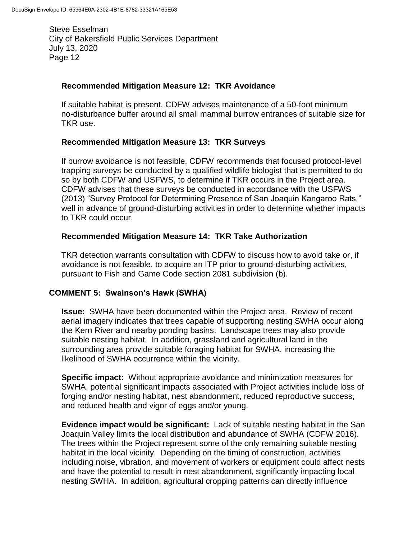### **Recommended Mitigation Measure 12: TKR Avoidance**

If suitable habitat is present, CDFW advises maintenance of a 50-foot minimum no-disturbance buffer around all small mammal burrow entrances of suitable size for TKR use.

### **Recommended Mitigation Measure 13: TKR Surveys**

If burrow avoidance is not feasible, CDFW recommends that focused protocol-level trapping surveys be conducted by a qualified wildlife biologist that is permitted to do so by both CDFW and USFWS, to determine if TKR occurs in the Project area. CDFW advises that these surveys be conducted in accordance with the USFWS (2013) "Survey Protocol for Determining Presence of San Joaquin Kangaroo Rats*,*" well in advance of ground-disturbing activities in order to determine whether impacts to TKR could occur.

## **Recommended Mitigation Measure 14: TKR Take Authorization**

TKR detection warrants consultation with CDFW to discuss how to avoid take or, if avoidance is not feasible, to acquire an ITP prior to ground-disturbing activities, pursuant to Fish and Game Code section 2081 subdivision (b).

## **COMMENT 5: Swainson's Hawk (SWHA)**

**Issue:** SWHA have been documented within the Project area. Review of recent aerial imagery indicates that trees capable of supporting nesting SWHA occur along the Kern River and nearby ponding basins. Landscape trees may also provide suitable nesting habitat. In addition, grassland and agricultural land in the surrounding area provide suitable foraging habitat for SWHA, increasing the likelihood of SWHA occurrence within the vicinity.

**Specific impact:** Without appropriate avoidance and minimization measures for SWHA, potential significant impacts associated with Project activities include loss of forging and/or nesting habitat, nest abandonment, reduced reproductive success, and reduced health and vigor of eggs and/or young.

**Evidence impact would be significant:** Lack of suitable nesting habitat in the San Joaquin Valley limits the local distribution and abundance of SWHA (CDFW 2016). The trees within the Project represent some of the only remaining suitable nesting habitat in the local vicinity. Depending on the timing of construction, activities including noise, vibration, and movement of workers or equipment could affect nests and have the potential to result in nest abandonment, significantly impacting local nesting SWHA. In addition, agricultural cropping patterns can directly influence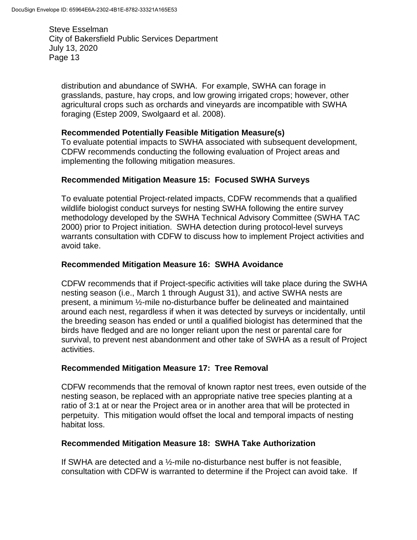distribution and abundance of SWHA. For example, SWHA can forage in grasslands, pasture, hay crops, and low growing irrigated crops; however, other agricultural crops such as orchards and vineyards are incompatible with SWHA foraging (Estep 2009, Swolgaard et al. 2008).

## **Recommended Potentially Feasible Mitigation Measure(s)**

To evaluate potential impacts to SWHA associated with subsequent development, CDFW recommends conducting the following evaluation of Project areas and implementing the following mitigation measures.

## **Recommended Mitigation Measure 15: Focused SWHA Surveys**

To evaluate potential Project-related impacts, CDFW recommends that a qualified wildlife biologist conduct surveys for nesting SWHA following the entire survey methodology developed by the SWHA Technical Advisory Committee (SWHA TAC 2000) prior to Project initiation. SWHA detection during protocol-level surveys warrants consultation with CDFW to discuss how to implement Project activities and avoid take.

## **Recommended Mitigation Measure 16: SWHA Avoidance**

CDFW recommends that if Project-specific activities will take place during the SWHA nesting season (i.e., March 1 through August 31), and active SWHA nests are present, a minimum ½-mile no-disturbance buffer be delineated and maintained around each nest, regardless if when it was detected by surveys or incidentally, until the breeding season has ended or until a qualified biologist has determined that the birds have fledged and are no longer reliant upon the nest or parental care for survival, to prevent nest abandonment and other take of SWHA as a result of Project activities.

## **Recommended Mitigation Measure 17: Tree Removal**

CDFW recommends that the removal of known raptor nest trees, even outside of the nesting season, be replaced with an appropriate native tree species planting at a ratio of 3:1 at or near the Project area or in another area that will be protected in perpetuity. This mitigation would offset the local and temporal impacts of nesting habitat loss.

## **Recommended Mitigation Measure 18: SWHA Take Authorization**

If SWHA are detected and a ½-mile no-disturbance nest buffer is not feasible, consultation with CDFW is warranted to determine if the Project can avoid take. If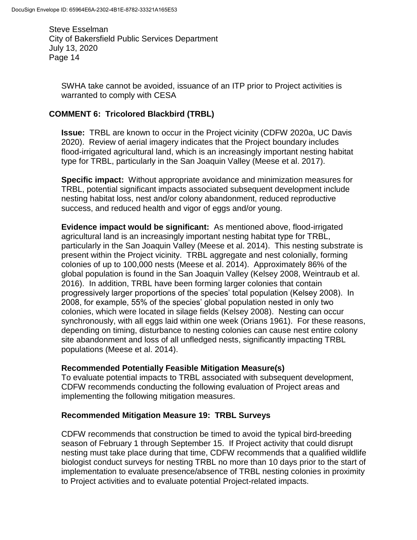SWHA take cannot be avoided, issuance of an ITP prior to Project activities is warranted to comply with CESA

## **COMMENT 6: Tricolored Blackbird (TRBL)**

**Issue:** TRBL are known to occur in the Project vicinity (CDFW 2020a, UC Davis 2020). Review of aerial imagery indicates that the Project boundary includes flood-irrigated agricultural land, which is an increasingly important nesting habitat type for TRBL, particularly in the San Joaquin Valley (Meese et al. 2017).

**Specific impact:** Without appropriate avoidance and minimization measures for TRBL, potential significant impacts associated subsequent development include nesting habitat loss, nest and/or colony abandonment, reduced reproductive success, and reduced health and vigor of eggs and/or young.

**Evidence impact would be significant:** As mentioned above, flood-irrigated agricultural land is an increasingly important nesting habitat type for TRBL, particularly in the San Joaquin Valley (Meese et al. 2014). This nesting substrate is present within the Project vicinity. TRBL aggregate and nest colonially, forming colonies of up to 100,000 nests (Meese et al. 2014). Approximately 86% of the global population is found in the San Joaquin Valley (Kelsey 2008, Weintraub et al. 2016). In addition, TRBL have been forming larger colonies that contain progressively larger proportions of the species' total population (Kelsey 2008). In 2008, for example, 55% of the species' global population nested in only two colonies, which were located in silage fields (Kelsey 2008). Nesting can occur synchronously, with all eggs laid within one week (Orians 1961). For these reasons, depending on timing, disturbance to nesting colonies can cause nest entire colony site abandonment and loss of all unfledged nests, significantly impacting TRBL populations (Meese et al. 2014).

## **Recommended Potentially Feasible Mitigation Measure(s)**

To evaluate potential impacts to TRBL associated with subsequent development, CDFW recommends conducting the following evaluation of Project areas and implementing the following mitigation measures.

## **Recommended Mitigation Measure 19: TRBL Surveys**

CDFW recommends that construction be timed to avoid the typical bird-breeding season of February 1 through September 15. If Project activity that could disrupt nesting must take place during that time, CDFW recommends that a qualified wildlife biologist conduct surveys for nesting TRBL no more than 10 days prior to the start of implementation to evaluate presence/absence of TRBL nesting colonies in proximity to Project activities and to evaluate potential Project-related impacts.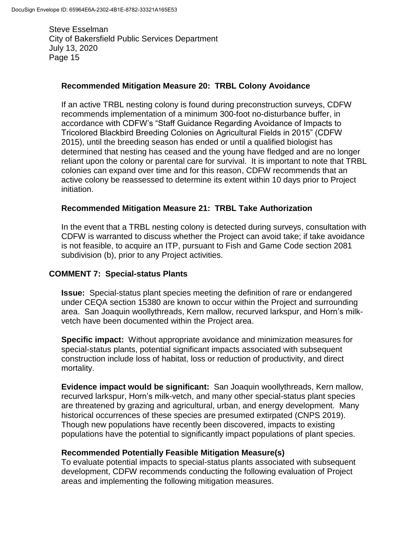## **Recommended Mitigation Measure 20: TRBL Colony Avoidance**

If an active TRBL nesting colony is found during preconstruction surveys, CDFW recommends implementation of a minimum 300-foot no-disturbance buffer, in accordance with CDFW's "Staff Guidance Regarding Avoidance of Impacts to Tricolored Blackbird Breeding Colonies on Agricultural Fields in 2015" (CDFW 2015), until the breeding season has ended or until a qualified biologist has determined that nesting has ceased and the young have fledged and are no longer reliant upon the colony or parental care for survival. It is important to note that TRBL colonies can expand over time and for this reason, CDFW recommends that an active colony be reassessed to determine its extent within 10 days prior to Project initiation.

## **Recommended Mitigation Measure 21: TRBL Take Authorization**

In the event that a TRBL nesting colony is detected during surveys, consultation with CDFW is warranted to discuss whether the Project can avoid take; if take avoidance is not feasible, to acquire an ITP, pursuant to Fish and Game Code section 2081 subdivision (b), prior to any Project activities.

## **COMMENT 7: Special-status Plants**

**Issue:** Special-status plant species meeting the definition of rare or endangered under CEQA section 15380 are known to occur within the Project and surrounding area. San Joaquin woollythreads, Kern mallow, recurved larkspur, and Horn's milkvetch have been documented within the Project area.

**Specific impact:** Without appropriate avoidance and minimization measures for special-status plants, potential significant impacts associated with subsequent construction include loss of habitat, loss or reduction of productivity, and direct mortality.

**Evidence impact would be significant:** San Joaquin woollythreads, Kern mallow, recurved larkspur, Horn's milk-vetch, and many other special-status plant species are threatened by grazing and agricultural, urban, and energy development. Many historical occurrences of these species are presumed extirpated (CNPS 2019). Though new populations have recently been discovered, impacts to existing populations have the potential to significantly impact populations of plant species.

## **Recommended Potentially Feasible Mitigation Measure(s)**

To evaluate potential impacts to special-status plants associated with subsequent development, CDFW recommends conducting the following evaluation of Project areas and implementing the following mitigation measures.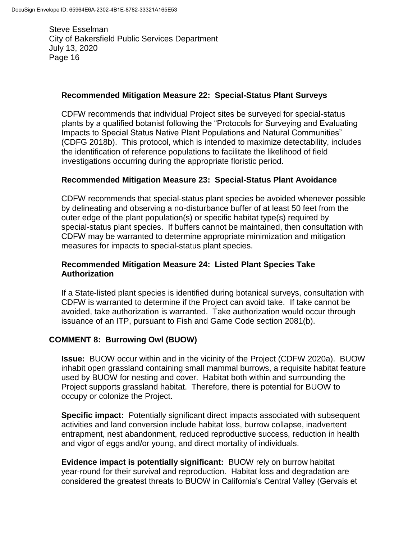### **Recommended Mitigation Measure 22: Special-Status Plant Surveys**

CDFW recommends that individual Project sites be surveyed for special-status plants by a qualified botanist following the "Protocols for Surveying and Evaluating Impacts to Special Status Native Plant Populations and Natural Communities" (CDFG 2018b). This protocol, which is intended to maximize detectability, includes the identification of reference populations to facilitate the likelihood of field investigations occurring during the appropriate floristic period.

### **Recommended Mitigation Measure 23: Special-Status Plant Avoidance**

CDFW recommends that special-status plant species be avoided whenever possible by delineating and observing a no-disturbance buffer of at least 50 feet from the outer edge of the plant population(s) or specific habitat type(s) required by special-status plant species. If buffers cannot be maintained, then consultation with CDFW may be warranted to determine appropriate minimization and mitigation measures for impacts to special-status plant species.

### **Recommended Mitigation Measure 24: Listed Plant Species Take Authorization**

If a State-listed plant species is identified during botanical surveys, consultation with CDFW is warranted to determine if the Project can avoid take. If take cannot be avoided, take authorization is warranted. Take authorization would occur through issuance of an ITP, pursuant to Fish and Game Code section 2081(b).

## **COMMENT 8: Burrowing Owl (BUOW)**

**Issue:** BUOW occur within and in the vicinity of the Project (CDFW 2020a). BUOW inhabit open grassland containing small mammal burrows, a requisite habitat feature used by BUOW for nesting and cover. Habitat both within and surrounding the Project supports grassland habitat. Therefore, there is potential for BUOW to occupy or colonize the Project.

**Specific impact:** Potentially significant direct impacts associated with subsequent activities and land conversion include habitat loss, burrow collapse, inadvertent entrapment, nest abandonment, reduced reproductive success, reduction in health and vigor of eggs and/or young, and direct mortality of individuals.

**Evidence impact is potentially significant:** BUOW rely on burrow habitat year-round for their survival and reproduction. Habitat loss and degradation are considered the greatest threats to BUOW in California's Central Valley (Gervais et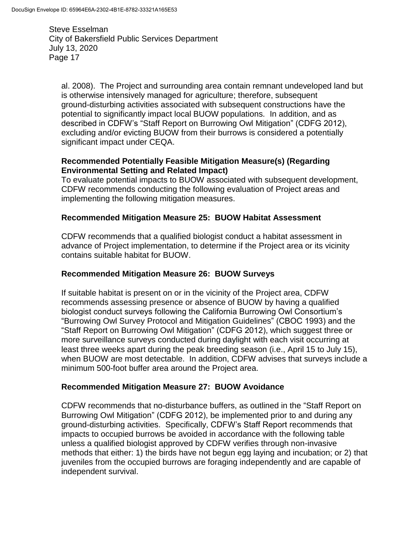al. 2008). The Project and surrounding area contain remnant undeveloped land but is otherwise intensively managed for agriculture; therefore, subsequent ground-disturbing activities associated with subsequent constructions have the potential to significantly impact local BUOW populations. In addition, and as described in CDFW's "Staff Report on Burrowing Owl Mitigation" (CDFG 2012), excluding and/or evicting BUOW from their burrows is considered a potentially significant impact under CEQA.

## **Recommended Potentially Feasible Mitigation Measure(s) (Regarding Environmental Setting and Related Impact)**

To evaluate potential impacts to BUOW associated with subsequent development, CDFW recommends conducting the following evaluation of Project areas and implementing the following mitigation measures.

## **Recommended Mitigation Measure 25: BUOW Habitat Assessment**

CDFW recommends that a qualified biologist conduct a habitat assessment in advance of Project implementation, to determine if the Project area or its vicinity contains suitable habitat for BUOW.

## **Recommended Mitigation Measure 26: BUOW Surveys**

If suitable habitat is present on or in the vicinity of the Project area, CDFW recommends assessing presence or absence of BUOW by having a qualified biologist conduct surveys following the California Burrowing Owl Consortium's "Burrowing Owl Survey Protocol and Mitigation Guidelines" (CBOC 1993) and the "Staff Report on Burrowing Owl Mitigation" (CDFG 2012), which suggest three or more surveillance surveys conducted during daylight with each visit occurring at least three weeks apart during the peak breeding season (i.e., April 15 to July 15), when BUOW are most detectable. In addition, CDFW advises that surveys include a minimum 500-foot buffer area around the Project area.

## **Recommended Mitigation Measure 27: BUOW Avoidance**

CDFW recommends that no-disturbance buffers, as outlined in the "Staff Report on Burrowing Owl Mitigation" (CDFG 2012), be implemented prior to and during any ground-disturbing activities. Specifically, CDFW's Staff Report recommends that impacts to occupied burrows be avoided in accordance with the following table unless a qualified biologist approved by CDFW verifies through non-invasive methods that either: 1) the birds have not begun egg laying and incubation; or 2) that juveniles from the occupied burrows are foraging independently and are capable of independent survival.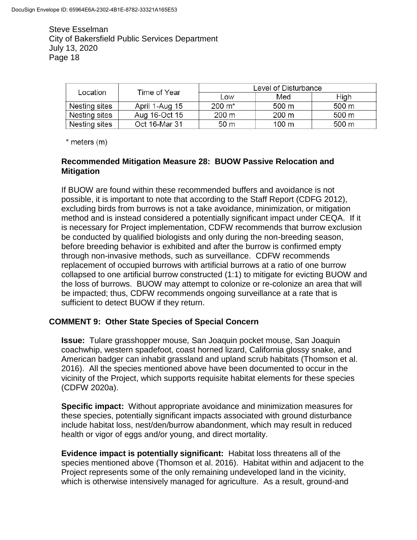| Location      | Time of Year   | Level of Disturbance |                 |       |
|---------------|----------------|----------------------|-----------------|-------|
|               |                | Low                  | Med             | High  |
| Nesting sites | April 1-Aug 15 | $200 \; \text{m}^*$  | 500 m           | 500 m |
| Nesting sites | Aug 16-Oct 15  | 200 m                | $200 \text{ m}$ | 500 m |
| Nesting sites | Oct 16-Mar 31  | 50 <sub>m</sub>      | 100 m           | 500 m |

 $*$  meters  $(m)$ 

## **Recommended Mitigation Measure 28: BUOW Passive Relocation and Mitigation**

If BUOW are found within these recommended buffers and avoidance is not possible, it is important to note that according to the Staff Report (CDFG 2012), excluding birds from burrows is not a take avoidance, minimization, or mitigation method and is instead considered a potentially significant impact under CEQA. If it is necessary for Project implementation, CDFW recommends that burrow exclusion be conducted by qualified biologists and only during the non-breeding season, before breeding behavior is exhibited and after the burrow is confirmed empty through non-invasive methods, such as surveillance. CDFW recommends replacement of occupied burrows with artificial burrows at a ratio of one burrow collapsed to one artificial burrow constructed (1:1) to mitigate for evicting BUOW and the loss of burrows. BUOW may attempt to colonize or re-colonize an area that will be impacted; thus, CDFW recommends ongoing surveillance at a rate that is sufficient to detect BUOW if they return.

## **COMMENT 9: Other State Species of Special Concern**

**Issue:** Tulare grasshopper mouse*,* San Joaquin pocket mouse, San Joaquin coachwhip, western spadefoot, coast horned lizard, California glossy snake, and American badger can inhabit grassland and upland scrub habitats (Thomson et al. 2016). All the species mentioned above have been documented to occur in the vicinity of the Project, which supports requisite habitat elements for these species (CDFW 2020a).

**Specific impact:** Without appropriate avoidance and minimization measures for these species, potentially significant impacts associated with ground disturbance include habitat loss, nest/den/burrow abandonment, which may result in reduced health or vigor of eggs and/or young, and direct mortality.

**Evidence impact is potentially significant:** Habitat loss threatens all of the species mentioned above (Thomson et al. 2016). Habitat within and adjacent to the Project represents some of the only remaining undeveloped land in the vicinity, which is otherwise intensively managed for agriculture. As a result, ground-and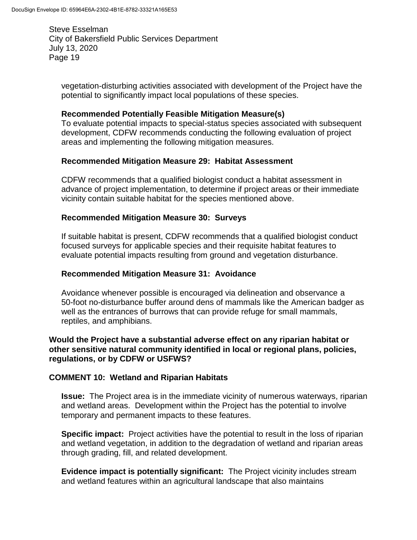vegetation-disturbing activities associated with development of the Project have the potential to significantly impact local populations of these species.

#### **Recommended Potentially Feasible Mitigation Measure(s)**

To evaluate potential impacts to special-status species associated with subsequent development, CDFW recommends conducting the following evaluation of project areas and implementing the following mitigation measures.

### **Recommended Mitigation Measure 29: Habitat Assessment**

CDFW recommends that a qualified biologist conduct a habitat assessment in advance of project implementation, to determine if project areas or their immediate vicinity contain suitable habitat for the species mentioned above.

### **Recommended Mitigation Measure 30: Surveys**

If suitable habitat is present, CDFW recommends that a qualified biologist conduct focused surveys for applicable species and their requisite habitat features to evaluate potential impacts resulting from ground and vegetation disturbance.

### **Recommended Mitigation Measure 31: Avoidance**

Avoidance whenever possible is encouraged via delineation and observance a 50-foot no-disturbance buffer around dens of mammals like the American badger as well as the entrances of burrows that can provide refuge for small mammals, reptiles, and amphibians.

### **Would the Project have a substantial adverse effect on any riparian habitat or other sensitive natural community identified in local or regional plans, policies, regulations, or by CDFW or USFWS?**

#### **COMMENT 10: Wetland and Riparian Habitats**

**Issue:** The Project area is in the immediate vicinity of numerous waterways, riparian and wetland areas. Development within the Project has the potential to involve temporary and permanent impacts to these features.

**Specific impact:** Project activities have the potential to result in the loss of riparian and wetland vegetation, in addition to the degradation of wetland and riparian areas through grading, fill, and related development.

**Evidence impact is potentially significant:** The Project vicinity includes stream and wetland features within an agricultural landscape that also maintains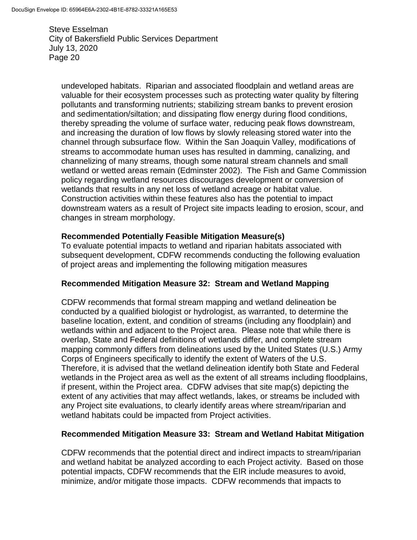undeveloped habitats. Riparian and associated floodplain and wetland areas are valuable for their ecosystem processes such as protecting water quality by filtering pollutants and transforming nutrients; stabilizing stream banks to prevent erosion and sedimentation/siltation; and dissipating flow energy during flood conditions, thereby spreading the volume of surface water, reducing peak flows downstream, and increasing the duration of low flows by slowly releasing stored water into the channel through subsurface flow. Within the San Joaquin Valley, modifications of streams to accommodate human uses has resulted in damming, canalizing, and channelizing of many streams, though some natural stream channels and small wetland or wetted areas remain (Edminster 2002). The Fish and Game Commission policy regarding wetland resources discourages development or conversion of wetlands that results in any net loss of wetland acreage or habitat value. Construction activities within these features also has the potential to impact downstream waters as a result of Project site impacts leading to erosion, scour, and changes in stream morphology.

#### **Recommended Potentially Feasible Mitigation Measure(s)**

To evaluate potential impacts to wetland and riparian habitats associated with subsequent development, CDFW recommends conducting the following evaluation of project areas and implementing the following mitigation measures

## **Recommended Mitigation Measure 32: Stream and Wetland Mapping**

CDFW recommends that formal stream mapping and wetland delineation be conducted by a qualified biologist or hydrologist, as warranted, to determine the baseline location, extent, and condition of streams (including any floodplain) and wetlands within and adjacent to the Project area. Please note that while there is overlap, State and Federal definitions of wetlands differ, and complete stream mapping commonly differs from delineations used by the United States (U.S.) Army Corps of Engineers specifically to identify the extent of Waters of the U.S. Therefore, it is advised that the wetland delineation identify both State and Federal wetlands in the Project area as well as the extent of all streams including floodplains, if present, within the Project area. CDFW advises that site map(s) depicting the extent of any activities that may affect wetlands, lakes, or streams be included with any Project site evaluations, to clearly identify areas where stream/riparian and wetland habitats could be impacted from Project activities.

#### **Recommended Mitigation Measure 33: Stream and Wetland Habitat Mitigation**

CDFW recommends that the potential direct and indirect impacts to stream/riparian and wetland habitat be analyzed according to each Project activity. Based on those potential impacts, CDFW recommends that the EIR include measures to avoid, minimize, and/or mitigate those impacts. CDFW recommends that impacts to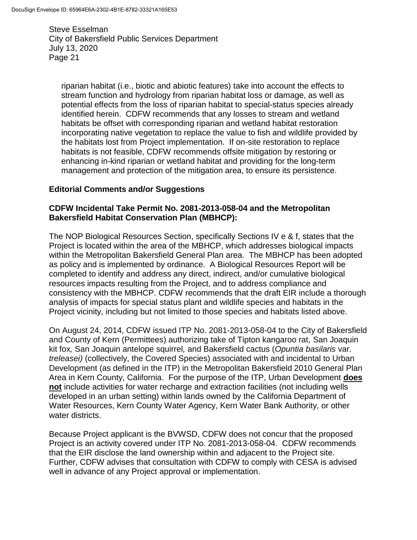riparian habitat (i.e., biotic and abiotic features) take into account the effects to stream function and hydrology from riparian habitat loss or damage, as well as potential effects from the loss of riparian habitat to special-status species already identified herein. CDFW recommends that any losses to stream and wetland habitats be offset with corresponding riparian and wetland habitat restoration incorporating native vegetation to replace the value to fish and wildlife provided by the habitats lost from Project implementation. If on-site restoration to replace habitats is not feasible, CDFW recommends offsite mitigation by restoring or enhancing in-kind riparian or wetland habitat and providing for the long-term management and protection of the mitigation area, to ensure its persistence.

### **Editorial Comments and/or Suggestions**

### **CDFW Incidental Take Permit No. 2081-2013-058-04 and the Metropolitan Bakersfield Habitat Conservation Plan (MBHCP):**

The NOP Biological Resources Section, specifically Sections IV e & f, states that the Project is located within the area of the MBHCP, which addresses biological impacts within the Metropolitan Bakersfield General Plan area. The MBHCP has been adopted as policy and is implemented by ordinance. A Biological Resources Report will be completed to identify and address any direct, indirect, and/or cumulative biological resources impacts resulting from the Project, and to address compliance and consistency with the MBHCP. CDFW recommends that the draft EIR include a thorough analysis of impacts for special status plant and wildlife species and habitats in the Project vicinity, including but not limited to those species and habitats listed above.

On August 24, 2014, CDFW issued ITP No. 2081-2013-058-04 to the City of Bakersfield and County of Kern (Permittees) authorizing take of Tipton kangaroo rat*,* San Joaquin kit fox*,* San Joaquin antelope squirrel*,* and Bakersfield cactus (*Opuntia basilaris* var. *treleasei)* (collectively, the Covered Species) associated with and incidental to Urban Development (as defined in the ITP) in the Metropolitan Bakersfield 2010 General Plan Area in Kern County, California. For the purpose of the ITP, Urban Development **does not** include activities for water recharge and extraction facilities (not including wells developed in an urban setting) within lands owned by the California Department of Water Resources, Kern County Water Agency, Kern Water Bank Authority, or other water districts.

Because Project applicant is the BVWSD, CDFW does not concur that the proposed Project is an activity covered under ITP No. 2081-2013-058-04. CDFW recommends that the EIR disclose the land ownership within and adjacent to the Project site. Further, CDFW advises that consultation with CDFW to comply with CESA is advised well in advance of any Project approval or implementation.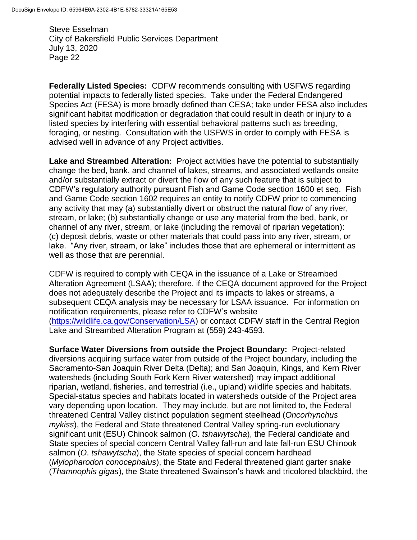**Federally Listed Species:** CDFW recommends consulting with USFWS regarding potential impacts to federally listed species. Take under the Federal Endangered Species Act (FESA) is more broadly defined than CESA; take under FESA also includes significant habitat modification or degradation that could result in death or injury to a listed species by interfering with essential behavioral patterns such as breeding, foraging, or nesting. Consultation with the USFWS in order to comply with FESA is advised well in advance of any Project activities.

**Lake and Streambed Alteration:** Project activities have the potential to substantially change the bed, bank, and channel of lakes, streams, and associated wetlands onsite and/or substantially extract or divert the flow of any such feature that is subject to CDFW's regulatory authority pursuant Fish and Game Code section 1600 et seq. Fish and Game Code section 1602 requires an entity to notify CDFW prior to commencing any activity that may (a) substantially divert or obstruct the natural flow of any river, stream, or lake; (b) substantially change or use any material from the bed, bank, or channel of any river, stream, or lake (including the removal of riparian vegetation): (c) deposit debris, waste or other materials that could pass into any river, stream, or lake. "Any river, stream, or lake" includes those that are ephemeral or intermittent as well as those that are perennial.

CDFW is required to comply with CEQA in the issuance of a Lake or Streambed Alteration Agreement (LSAA); therefore, if the CEQA document approved for the Project does not adequately describe the Project and its impacts to lakes or streams, a subsequent CEQA analysis may be necessary for LSAA issuance. For information on notification requirements, please refer to CDFW's website [\(https://wildlife.ca.gov/Conservation/LSA\)](https://wildlife.ca.gov/Conservation/LSA) or contact CDFW staff in the Central Region Lake and Streambed Alteration Program at (559) 243-4593.

**Surface Water Diversions from outside the Project Boundary:** Project-related diversions acquiring surface water from outside of the Project boundary, including the Sacramento-San Joaquin River Delta (Delta); and San Joaquin, Kings, and Kern River watersheds (including South Fork Kern River watershed) may impact additional riparian, wetland, fisheries, and terrestrial (i.e., upland) wildlife species and habitats. Special-status species and habitats located in watersheds outside of the Project area vary depending upon location. They may include, but are not limited to, the Federal threatened Central Valley distinct population segment steelhead (*Oncorhynchus mykiss*), the Federal and State threatened Central Valley spring-run evolutionary significant unit (ESU) Chinook salmon (*O. tshawytscha*), the Federal candidate and State species of special concern Central Valley fall-run and late fall-run ESU Chinook salmon (*O*. *tshawytscha*), the State species of special concern hardhead (*Mylopharodon conocephalus*), the State and Federal threatened giant garter snake (*Thamnophis gigas*), the State threatened Swainson's hawk and tricolored blackbird, the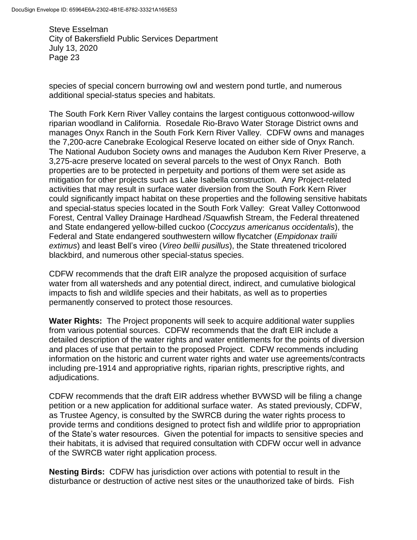species of special concern burrowing owl and western pond turtle, and numerous additional special-status species and habitats.

The South Fork Kern River Valley contains the largest contiguous cottonwood-willow riparian woodland in California. Rosedale Rio-Bravo Water Storage District owns and manages Onyx Ranch in the South Fork Kern River Valley. CDFW owns and manages the 7,200-acre Canebrake Ecological Reserve located on either side of Onyx Ranch. The National Audubon Society owns and manages the Audubon Kern River Preserve, a 3,275-acre preserve located on several parcels to the west of Onyx Ranch. Both properties are to be protected in perpetuity and portions of them were set aside as mitigation for other projects such as Lake Isabella construction. Any Project-related activities that may result in surface water diversion from the South Fork Kern River could significantly impact habitat on these properties and the following sensitive habitats and special-status species located in the South Fork Valley: Great Valley Cottonwood Forest, Central Valley Drainage Hardhead /Squawfish Stream, the Federal threatened and State endangered yellow-billed cuckoo (*Coccyzus americanus occidentalis*), the Federal and State endangered southwestern willow flycatcher (*Empidonax trailii extimus*) and least Bell's vireo (*Vireo bellii pusillus*), the State threatened tricolored blackbird, and numerous other special-status species.

CDFW recommends that the draft EIR analyze the proposed acquisition of surface water from all watersheds and any potential direct, indirect, and cumulative biological impacts to fish and wildlife species and their habitats, as well as to properties permanently conserved to protect those resources.

**Water Rights:** The Project proponents will seek to acquire additional water supplies from various potential sources. CDFW recommends that the draft EIR include a detailed description of the water rights and water entitlements for the points of diversion and places of use that pertain to the proposed Project. CDFW recommends including information on the historic and current water rights and water use agreements/contracts including pre-1914 and appropriative rights, riparian rights, prescriptive rights, and adjudications.

CDFW recommends that the draft EIR address whether BVWSD will be filing a change petition or a new application for additional surface water. As stated previously, CDFW, as Trustee Agency, is consulted by the SWRCB during the water rights process to provide terms and conditions designed to protect fish and wildlife prior to appropriation of the State's water resources. Given the potential for impacts to sensitive species and their habitats, it is advised that required consultation with CDFW occur well in advance of the SWRCB water right application process.

**Nesting Birds:** CDFW has jurisdiction over actions with potential to result in the disturbance or destruction of active nest sites or the unauthorized take of birds. Fish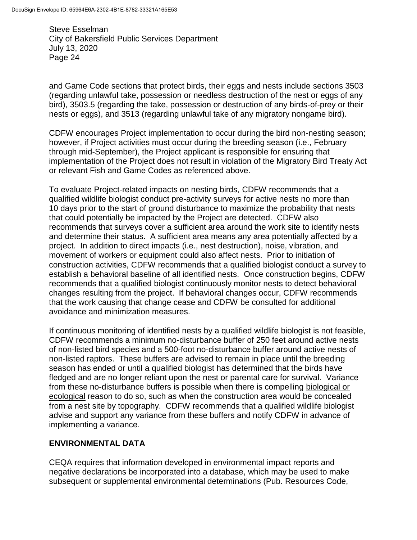and Game Code sections that protect birds, their eggs and nests include sections 3503 (regarding unlawful take, possession or needless destruction of the nest or eggs of any bird), 3503.5 (regarding the take, possession or destruction of any birds-of-prey or their nests or eggs), and 3513 (regarding unlawful take of any migratory nongame bird).

CDFW encourages Project implementation to occur during the bird non-nesting season; however, if Project activities must occur during the breeding season (i.e., February through mid-September), the Project applicant is responsible for ensuring that implementation of the Project does not result in violation of the Migratory Bird Treaty Act or relevant Fish and Game Codes as referenced above.

To evaluate Project-related impacts on nesting birds, CDFW recommends that a qualified wildlife biologist conduct pre-activity surveys for active nests no more than 10 days prior to the start of ground disturbance to maximize the probability that nests that could potentially be impacted by the Project are detected. CDFW also recommends that surveys cover a sufficient area around the work site to identify nests and determine their status. A sufficient area means any area potentially affected by a project. In addition to direct impacts (i.e., nest destruction), noise, vibration, and movement of workers or equipment could also affect nests. Prior to initiation of construction activities, CDFW recommends that a qualified biologist conduct a survey to establish a behavioral baseline of all identified nests. Once construction begins, CDFW recommends that a qualified biologist continuously monitor nests to detect behavioral changes resulting from the project. If behavioral changes occur, CDFW recommends that the work causing that change cease and CDFW be consulted for additional avoidance and minimization measures.

If continuous monitoring of identified nests by a qualified wildlife biologist is not feasible, CDFW recommends a minimum no-disturbance buffer of 250 feet around active nests of non-listed bird species and a 500-foot no-disturbance buffer around active nests of non-listed raptors. These buffers are advised to remain in place until the breeding season has ended or until a qualified biologist has determined that the birds have fledged and are no longer reliant upon the nest or parental care for survival. Variance from these no-disturbance buffers is possible when there is compelling biological or ecological reason to do so, such as when the construction area would be concealed from a nest site by topography. CDFW recommends that a qualified wildlife biologist advise and support any variance from these buffers and notify CDFW in advance of implementing a variance.

## **ENVIRONMENTAL DATA**

CEQA requires that information developed in environmental impact reports and negative declarations be incorporated into a database, which may be used to make subsequent or supplemental environmental determinations (Pub. Resources Code,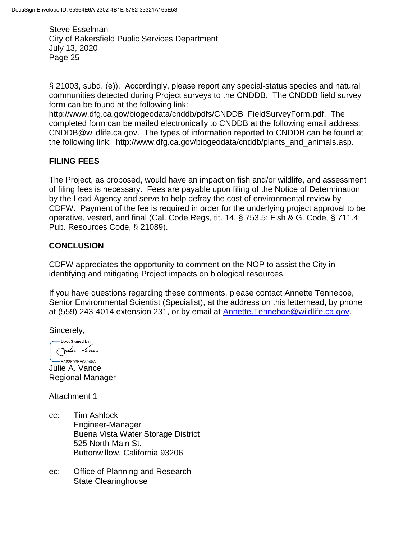§ 21003, subd. (e)). Accordingly, please report any special-status species and natural communities detected during Project surveys to the CNDDB. The CNDDB field survey form can be found at the following link:

http://www.dfg.ca.gov/biogeodata/cnddb/pdfs/CNDDB\_FieldSurveyForm.pdf. The completed form can be mailed electronically to CNDDB at the following email address: CNDDB@wildlife.ca.gov. The types of information reported to CNDDB can be found at the following link: http://www.dfg.ca.gov/biogeodata/cnddb/plants\_and\_animals.asp.

## **FILING FEES**

The Project, as proposed, would have an impact on fish and/or wildlife, and assessment of filing fees is necessary. Fees are payable upon filing of the Notice of Determination by the Lead Agency and serve to help defray the cost of environmental review by CDFW. Payment of the fee is required in order for the underlying project approval to be operative, vested, and final (Cal. Code Regs, tit. 14, § 753.5; Fish & G. Code, § 711.4; Pub. Resources Code, § 21089).

## **CONCLUSION**

CDFW appreciates the opportunity to comment on the NOP to assist the City in identifying and mitigating Project impacts on biological resources.

If you have questions regarding these comments, please contact Annette Tenneboe, Senior Environmental Scientist (Specialist), at the address on this letterhead, by phone at (559) 243-4014 extension 231, or by email at [Annette.Tenneboe@wildlife.ca.gov.](mailto:Annette.Tenneboe@wildlife.ca.gov)

Sincerely,

-DocuSigned by: Julie Vance

-FA83F09FE08945A... Julie A. Vance Regional Manager

Attachment 1

- cc: Tim Ashlock Engineer-Manager Buena Vista Water Storage District 525 North Main St. Buttonwillow, California 93206
- ec: Office of Planning and Research State Clearinghouse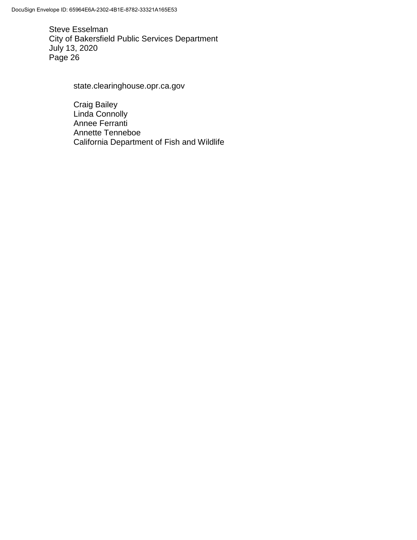state.clearinghouse.opr.ca.gov

Craig Bailey Linda Connolly Annee Ferranti Annette Tenneboe California Department of Fish and Wildlife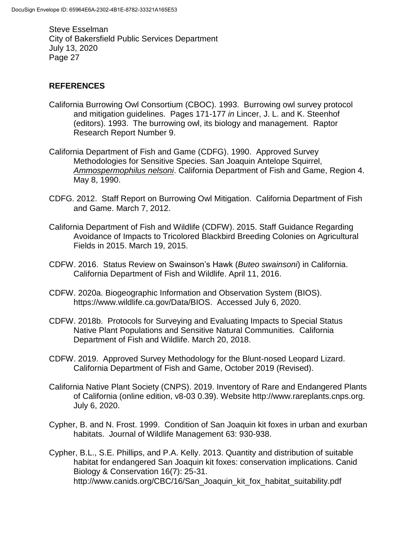## **REFERENCES**

- California Burrowing Owl Consortium (CBOC). 1993. Burrowing owl survey protocol and mitigation guidelines. Pages 171-177 *in* Lincer, J. L. and K. Steenhof (editors). 1993. The burrowing owl, its biology and management. Raptor Research Report Number 9.
- California Department of Fish and Game (CDFG). 1990. Approved Survey Methodologies for Sensitive Species. San Joaquin Antelope Squirrel, *Ammospermophilus nelsoni*. California Department of Fish and Game, Region 4. May 8, 1990.
- CDFG. 2012. Staff Report on Burrowing Owl Mitigation. California Department of Fish and Game. March 7, 2012.
- California Department of Fish and Wildlife (CDFW). 2015. Staff Guidance Regarding Avoidance of Impacts to Tricolored Blackbird Breeding Colonies on Agricultural Fields in 2015. March 19, 2015.
- CDFW. 2016. Status Review on Swainson's Hawk (*Buteo swainsoni*) in California. California Department of Fish and Wildlife. April 11, 2016.
- CDFW. 2020a. Biogeographic Information and Observation System (BIOS). https://www.wildlife.ca.gov/Data/BIOS. Accessed July 6, 2020.
- CDFW. 2018b. Protocols for Surveying and Evaluating Impacts to Special Status Native Plant Populations and Sensitive Natural Communities. California Department of Fish and Wildlife. March 20, 2018.
- CDFW. 2019. Approved Survey Methodology for the Blunt-nosed Leopard Lizard. California Department of Fish and Game, October 2019 (Revised).
- California Native Plant Society (CNPS). 2019. Inventory of Rare and Endangered Plants of California (online edition, v8-03 0.39). Website http://www.rareplants.cnps.org. July 6, 2020.
- Cypher, B. and N. Frost. 1999. Condition of San Joaquin kit foxes in urban and exurban habitats. Journal of Wildlife Management 63: 930-938.
- Cypher, B.L., S.E. Phillips, and P.A. Kelly. 2013. Quantity and distribution of suitable habitat for endangered San Joaquin kit foxes: conservation implications. Canid Biology & Conservation 16(7): 25-31. http://www.canids.org/CBC/16/San\_Joaquin\_kit\_fox\_habitat\_suitability.pdf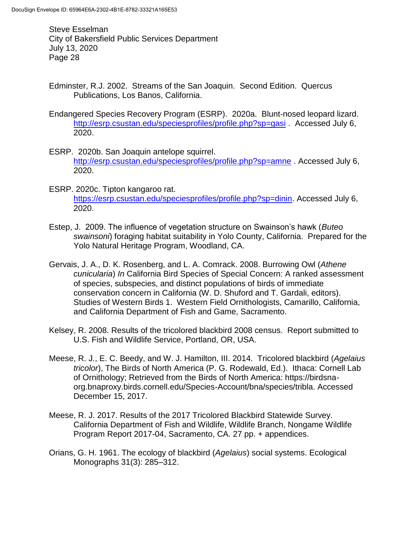- Edminster, R.J. 2002. Streams of the San Joaquin. Second Edition. Quercus Publications, Los Banos, California.
- Endangered Species Recovery Program (ESRP). 2020a. Blunt-nosed leopard lizard. <http://esrp.csustan.edu/speciesprofiles/profile.php?sp=gasi> . Accessed July 6, 2020.
- ESRP. 2020b. San Joaquin antelope squirrel. <http://esrp.csustan.edu/speciesprofiles/profile.php?sp=amne> . Accessed July 6, 2020.
- ESRP. 2020c. Tipton kangaroo rat. [https://esrp.csustan.edu/speciesprofiles/profile.php?sp=dinin.](https://esrp.csustan.edu/speciesprofiles/profile.php?sp=dinin) Accessed July 6, 2020.
- Estep, J. 2009. The influence of vegetation structure on Swainson's hawk (*Buteo swainsoni*) foraging habitat suitability in Yolo County, California. Prepared for the Yolo Natural Heritage Program, Woodland, CA.
- Gervais, J. A., D. K. Rosenberg, and L. A. Comrack. 2008. Burrowing Owl (*Athene cunicularia*) *In* California Bird Species of Special Concern: A ranked assessment of species, subspecies, and distinct populations of birds of immediate conservation concern in California (W. D. Shuford and T. Gardali, editors). Studies of Western Birds 1. Western Field Ornithologists, Camarillo, California, and California Department of Fish and Game, Sacramento.
- Kelsey, R. 2008. Results of the tricolored blackbird 2008 census. Report submitted to U.S. Fish and Wildlife Service, Portland, OR, USA.
- Meese, R. J., E. C. Beedy, and W. J. Hamilton, III. 2014. Tricolored blackbird (*Agelaius tricolor*), The Birds of North America (P. G. Rodewald, Ed.). Ithaca: Cornell Lab of Ornithology; Retrieved from the Birds of North America: https://birdsnaorg.bnaproxy.birds.cornell.edu/Species-Account/bna/species/tribla. Accessed December 15, 2017.
- Meese, R. J. 2017. Results of the 2017 Tricolored Blackbird Statewide Survey. California Department of Fish and Wildlife, Wildlife Branch, Nongame Wildlife Program Report 2017-04, Sacramento, CA. 27 pp. + appendices.
- Orians, G. H. 1961. The ecology of blackbird (*Agelaius*) social systems. Ecological Monographs 31(3): 285–312.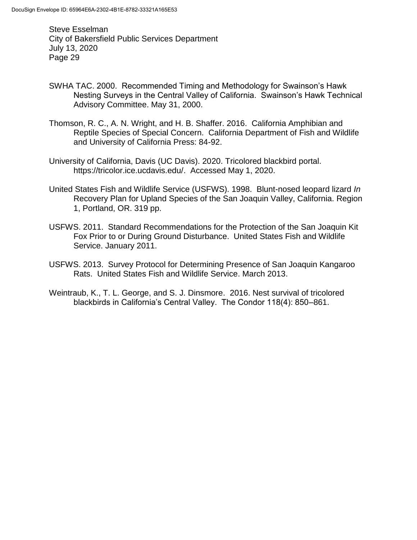- SWHA TAC. 2000. Recommended Timing and Methodology for Swainson's Hawk Nesting Surveys in the Central Valley of California. Swainson's Hawk Technical Advisory Committee. May 31, 2000.
- Thomson, R. C., A. N. Wright, and H. B. Shaffer. 2016. California Amphibian and Reptile Species of Special Concern. California Department of Fish and Wildlife and University of California Press: 84-92.
- University of California, Davis (UC Davis). 2020. Tricolored blackbird portal. https://tricolor.ice.ucdavis.edu/. Accessed May 1, 2020.
- United States Fish and Wildlife Service (USFWS). 1998. Blunt-nosed leopard lizard *In*  Recovery Plan for Upland Species of the San Joaquin Valley, California. Region 1, Portland, OR. 319 pp.
- USFWS. 2011. Standard Recommendations for the Protection of the San Joaquin Kit Fox Prior to or During Ground Disturbance. United States Fish and Wildlife Service. January 2011.
- USFWS. 2013. Survey Protocol for Determining Presence of San Joaquin Kangaroo Rats. United States Fish and Wildlife Service. March 2013.
- Weintraub, K., T. L. George, and S. J. Dinsmore. 2016. Nest survival of tricolored blackbirds in California's Central Valley. The Condor 118(4): 850–861.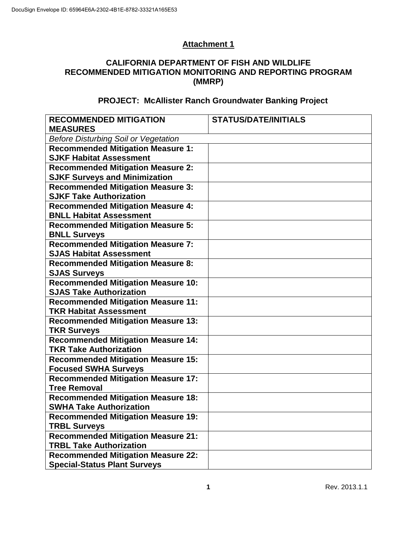## **Attachment 1**

## **CALIFORNIA DEPARTMENT OF FISH AND WILDLIFE RECOMMENDED MITIGATION MONITORING AND REPORTING PROGRAM (MMRP)**

## **PROJECT: McAllister Ranch Groundwater Banking Project**

| <b>RECOMMENDED MITIGATION</b>               | <b>STATUS/DATE/INITIALS</b> |  |  |  |
|---------------------------------------------|-----------------------------|--|--|--|
| <b>MEASURES</b>                             |                             |  |  |  |
| <b>Before Disturbing Soil or Vegetation</b> |                             |  |  |  |
| <b>Recommended Mitigation Measure 1:</b>    |                             |  |  |  |
| <b>SJKF Habitat Assessment</b>              |                             |  |  |  |
| <b>Recommended Mitigation Measure 2:</b>    |                             |  |  |  |
| <b>SJKF Surveys and Minimization</b>        |                             |  |  |  |
| <b>Recommended Mitigation Measure 3:</b>    |                             |  |  |  |
| <b>SJKF Take Authorization</b>              |                             |  |  |  |
| <b>Recommended Mitigation Measure 4:</b>    |                             |  |  |  |
| <b>BNLL Habitat Assessment</b>              |                             |  |  |  |
| <b>Recommended Mitigation Measure 5:</b>    |                             |  |  |  |
| <b>BNLL Surveys</b>                         |                             |  |  |  |
| <b>Recommended Mitigation Measure 7:</b>    |                             |  |  |  |
| <b>SJAS Habitat Assessment</b>              |                             |  |  |  |
| <b>Recommended Mitigation Measure 8:</b>    |                             |  |  |  |
| <b>SJAS Surveys</b>                         |                             |  |  |  |
| <b>Recommended Mitigation Measure 10:</b>   |                             |  |  |  |
| <b>SJAS Take Authorization</b>              |                             |  |  |  |
| <b>Recommended Mitigation Measure 11:</b>   |                             |  |  |  |
| <b>TKR Habitat Assessment</b>               |                             |  |  |  |
| <b>Recommended Mitigation Measure 13:</b>   |                             |  |  |  |
| <b>TKR Surveys</b>                          |                             |  |  |  |
| <b>Recommended Mitigation Measure 14:</b>   |                             |  |  |  |
| <b>TKR Take Authorization</b>               |                             |  |  |  |
| <b>Recommended Mitigation Measure 15:</b>   |                             |  |  |  |
| <b>Focused SWHA Surveys</b>                 |                             |  |  |  |
| <b>Recommended Mitigation Measure 17:</b>   |                             |  |  |  |
| <b>Tree Removal</b>                         |                             |  |  |  |
| <b>Recommended Mitigation Measure 18:</b>   |                             |  |  |  |
| <b>SWHA Take Authorization</b>              |                             |  |  |  |
| <b>Recommended Mitigation Measure 19:</b>   |                             |  |  |  |
| <b>TRBL Surveys</b>                         |                             |  |  |  |
| <b>Recommended Mitigation Measure 21:</b>   |                             |  |  |  |
| <b>TRBL Take Authorization</b>              |                             |  |  |  |
| <b>Recommended Mitigation Measure 22:</b>   |                             |  |  |  |
| <b>Special-Status Plant Surveys</b>         |                             |  |  |  |